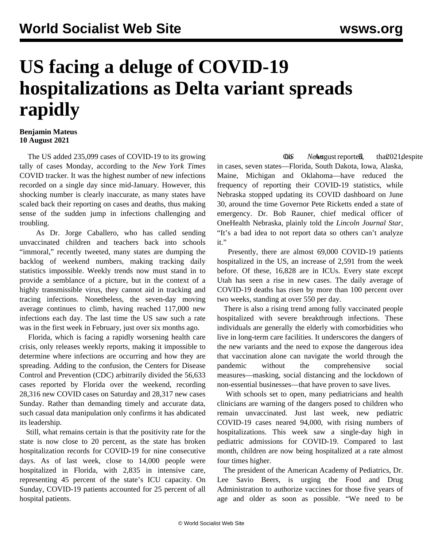## **US facing a deluge of COVID-19 hospitalizations as Delta variant spreads rapidly**

## **Benjamin Mateus 10 August 2021**

 The US added 235,099 cases of COVID-19 to its growing tally of cases Monday, according to the *New York Times* COVID tracker. It was the highest number of new infections recorded on a single day since mid-January. However, this shocking number is clearly inaccurate, as many states have scaled back their reporting on cases and deaths, thus making sense of the sudden jump in infections challenging and troubling.

 As Dr. Jorge Caballero, who has called sending unvaccinated children and teachers back into schools "immoral," recently tweeted, many states are dumping the backlog of weekend numbers, making tracking daily statistics impossible. Weekly trends now must stand in to provide a semblance of a picture, but in the context of a highly transmissible virus, they cannot aid in tracking and tracing infections. Nonetheless, the seven-day moving average continues to climb, having reached 117,000 new infections each day. The last time the US saw such a rate was in the first week in February, just over six months ago.

 Florida, which is facing a rapidly worsening health care crisis, only releases weekly reports, making it impossible to determine where infections are occurring and how they are spreading. Adding to the confusion, the Centers for Disease Control and Prevention (CDC) arbitrarily divided the 56,633 cases reported by Florida over the weekend, recording 28,316 new COVID cases on Saturday and 28,317 new cases Sunday. Rather than demanding timely and accurate data, such casual data manipulation only confirms it has abdicated its leadership.

 Still, what remains certain is that the positivity rate for the state is now close to 20 percent, as the state has broken hospitalization records for COVID-19 for nine consecutive days. As of last week, close to 14,000 people were hospitalized in Florida, with 2,835 in intensive care, representing 45 percent of the state's ICU capacity. On Sunday, COVID-19 patients accounted for 25 percent of all hospital patients.

**Ob News** equal that D21 despite in cases, seven states—Florida, South Dakota, Iowa, Alaska, Maine, Michigan and Oklahoma—have reduced the frequency of reporting their COVID-19 statistics, while Nebraska stopped updating its COVID dashboard on June 30, around the time Governor Pete Ricketts ended a state of emergency. Dr. Bob Rauner, chief medical officer of OneHealth Nebraska, plainly told the *Lincoln Journal Star*, "It's a bad idea to not report data so others can't analyze it."

 Presently, there are almost 69,000 COVID-19 patients hospitalized in the US, an increase of 2,591 from the week before. Of these, 16,828 are in ICUs. Every state except Utah has seen a rise in new cases. The daily average of COVID-19 deaths has risen by more than 100 percent over two weeks, standing at over 550 per day.

 There is also a rising trend among fully vaccinated people hospitalized with severe breakthrough infections. These individuals are generally the elderly with comorbidities who live in long-term care facilities. It underscores the dangers of the new variants and the need to expose the dangerous idea that vaccination alone can navigate the world through the pandemic without the comprehensive social measures—masking, social distancing and the lockdown of non-essential businesses—that have proven to save lives.

 With schools set to open, many pediatricians and health clinicians are warning of the dangers posed to children who remain unvaccinated. Just last week, new pediatric COVID-19 cases neared 94,000, with rising numbers of hospitalizations. This week saw a single-day high in pediatric admissions for COVID-19. Compared to last month, children are now being hospitalized at a rate almost four times higher.

 The president of the American Academy of Pediatrics, Dr. Lee Savio Beers, is urging the Food and Drug Administration to authorize vaccines for those five years of age and older as soon as possible. "We need to be